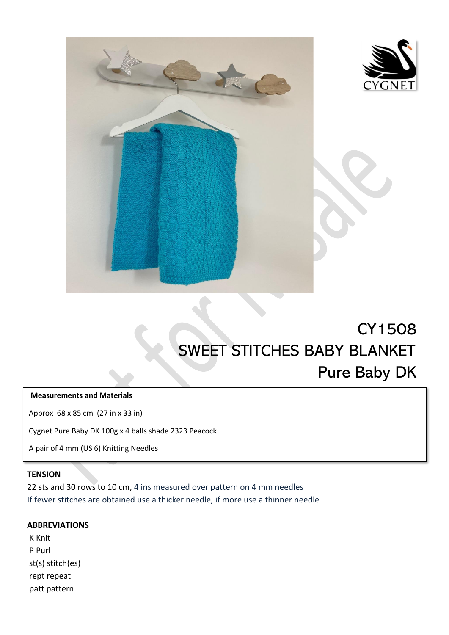



# CY1508 SWEET STITCHES BABY BLANKET Pure Baby DK  $\overline{a}$

## **Measurements and Materials**

Approx 68 x 85 cm (27 in x 33 in)

Cygnet Pure Baby DK 100g x 4 balls shade 2323 Peacock

A pair of 4 mm (US 6) Knitting Needles

#### **TENSION**

22 sts and 30 rows to 10 cm, 4 ins measured over pattern on 4 mm needles If fewer stitches are obtained use a thicker needle, if more use a thinner needle

L

#### **ABBREVIATIONS**

K Knit P Purl st(s) stitch(es) rept repeat patt pattern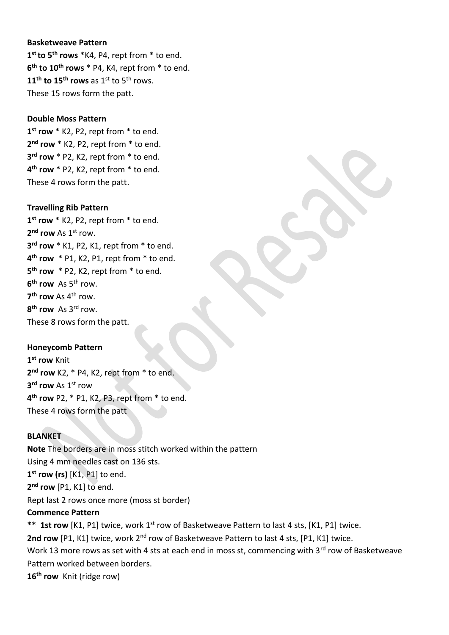#### **Basketweave Pattern**

 **st to 5th rows** \*K4, P4, rept from \* to end. **th to 10th rows** \* P4, K4, rept from \* to end. **th to 15th rows** as 1st to 5th rows. These 15 rows form the patt.

#### **Double Moss Pattern**

 **st row** \* K2, P2, rept from \* to end. **nd row** \* K2, P2, rept from \* to end. **rd row** \* P2, K2, rept from \* to end. **th row** \* P2, K2, rept from \* to end. These 4 rows form the patt.

#### **Travelling Rib Pattern**

 **st row** \* K2, P2, rept from \* to end. **nd row** As 1st row. **rd row** \* K1, P2, K1, rept from \* to end. **th row** \* P1, K2, P1, rept from \* to end. **th row** \* P2, K2, rept from \* to end. **th row** As 5th row. **th row** As 4th row. **th row** As 3rd row. These 8 rows form the patt.

## **Honeycomb Pattern**

 **st row** Knit **nd row** K2, \* P4, K2, rept from \* to end. **rd row** As 1st row **th row** P2, \* P1, K2, P3, rept from \* to end. These 4 rows form the patt

## **BLANKET**

**Note** The borders are in moss stitch worked within the pattern Using 4 mm needles cast on 136 sts. **1 st row (rs)** [K1, P1] to end. **2 nd row** [P1, K1] to end. Rept last 2 rows once more (moss st border)

## **Commence Pattern**

\*\* 1st row [K1, P1] twice, work 1<sup>st</sup> row of Basketweave Pattern to last 4 sts, [K1, P1] twice. 2nd row [P1, K1] twice, work 2<sup>nd</sup> row of Basketweave Pattern to last 4 sts, [P1, K1] twice. Work 13 more rows as set with 4 sts at each end in moss st, commencing with 3rd row of Basketweave Pattern worked between borders. **16th row** Knit (ridge row)